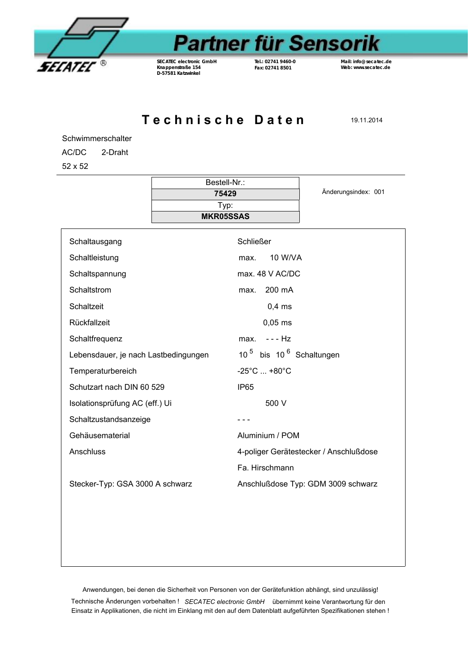

## **Partner für Sensorik**

*SECATEC* **electronic GmbH Knappenstraße 154 D-57581 Katzwinkel**

**Tel.: 02741 9460-0 Fax: 02741 8501**

**Mail: info@secatec.de Web: www.secatec.de**

Technische Daten 19.11.2014

Schwimmerschalter

AC/DC 2-Draht

52 x 52

|                                      | Bestell-Nr.:             |                                                 |                                        |  |
|--------------------------------------|--------------------------|-------------------------------------------------|----------------------------------------|--|
|                                      | 75429                    |                                                 | Änderungsindex: 001                    |  |
|                                      | Typ:<br><b>MKR05SSAS</b> |                                                 |                                        |  |
|                                      |                          |                                                 |                                        |  |
| Schaltausgang                        |                          | <b>Schließer</b>                                |                                        |  |
| Schaltleistung                       |                          | <b>10 W/VA</b><br>max.                          |                                        |  |
| Schaltspannung                       |                          | max. 48 V AC/DC                                 |                                        |  |
| Schaltstrom                          |                          | 200 mA<br>max.                                  |                                        |  |
| Schaltzeit                           |                          | $0,4$ ms                                        |                                        |  |
| Rückfallzeit                         |                          | $0,05$ ms                                       |                                        |  |
| Schaltfrequenz                       |                          | $--$ Hz<br>max.                                 |                                        |  |
| Lebensdauer, je nach Lastbedingungen |                          | 10 <sup>5</sup> bis 10 <sup>6</sup> Schaltungen |                                        |  |
| Temperaturbereich                    |                          | $-25^{\circ}$ C  +80 $^{\circ}$ C               |                                        |  |
| Schutzart nach DIN 60 529            |                          | IP <sub>65</sub>                                |                                        |  |
| Isolationsprüfung AC (eff.) Ui       |                          | 500 V                                           |                                        |  |
| Schaltzustandsanzeige                |                          |                                                 |                                        |  |
| Gehäusematerial                      |                          | Aluminium / POM                                 |                                        |  |
| Anschluss                            |                          |                                                 | 4-poliger Gerätestecker / Anschlußdose |  |
|                                      |                          | Fa. Hirschmann                                  |                                        |  |
| Stecker-Typ: GSA 3000 A schwarz      |                          |                                                 | Anschlußdose Typ: GDM 3009 schwarz     |  |
|                                      |                          |                                                 |                                        |  |
|                                      |                          |                                                 |                                        |  |
|                                      |                          |                                                 |                                        |  |
|                                      |                          |                                                 |                                        |  |
|                                      |                          |                                                 |                                        |  |

Anwendungen, bei denen die Sicherheit von Personen von der Gerätefunktion abhängt, sind unzulässig!

Technische Änderungen vorbehalten ! *SECATEC electronic GmbH* übernimmt keine Verantwortung für den Einsatz in Applikationen, die nicht im Einklang mit den auf dem Datenblatt aufgeführten Spezifikationen stehen !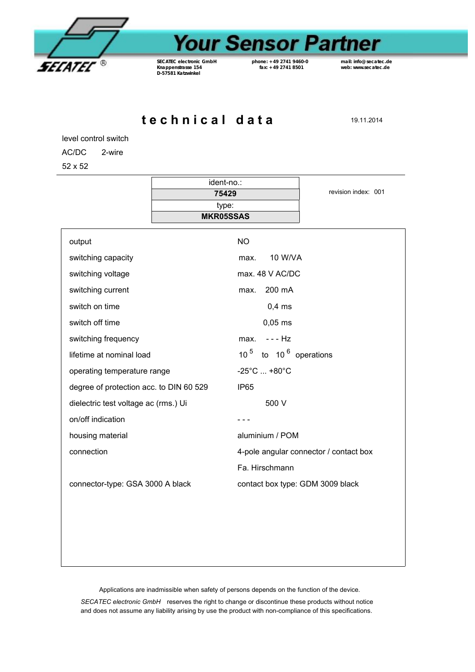

## **Your Sensor Partner**

*SECATEC* **electronic GmbH Knappenstrasse 154 D-57581 Katzwinkel**

**phone: +49 2741 9460-0 fax: +49 2741 8501**

 $\overline{\phantom{0}}$ 

**mail: info@secatec.de web: www.secatec.de**

**t e c h n i c a l d a t a** 19.11.2014

level control switch

AC/DC 2-wire

52 x 52

|                                         | ident-no.:       |                                        | revision index: 001 |  |
|-----------------------------------------|------------------|----------------------------------------|---------------------|--|
|                                         | 75429<br>type:   |                                        |                     |  |
|                                         | <b>MKR05SSAS</b> |                                        |                     |  |
| output                                  |                  | <b>NO</b>                              |                     |  |
| switching capacity                      |                  | 10 W/VA<br>max.                        |                     |  |
|                                         |                  |                                        |                     |  |
| switching voltage                       |                  | max. 48 V AC/DC                        |                     |  |
| switching current                       |                  | 200 mA<br>max.                         |                     |  |
| switch on time                          |                  | $0,4$ ms                               |                     |  |
| switch off time                         |                  | $0,05$ ms                              |                     |  |
| switching frequency                     |                  | - - - Hz<br>max.                       |                     |  |
| lifetime at nominal load                |                  | 10 $5$ to 10 $6$ operations            |                     |  |
| operating temperature range             |                  | $-25^{\circ}$ C  +80 $^{\circ}$ C      |                     |  |
| degree of protection acc. to DIN 60 529 |                  | <b>IP65</b>                            |                     |  |
| dielectric test voltage ac (rms.) Ui    |                  | 500 V                                  |                     |  |
| on/off indication                       |                  |                                        |                     |  |
| housing material                        |                  | aluminium / POM                        |                     |  |
| connection                              |                  | 4-pole angular connector / contact box |                     |  |
|                                         |                  | Fa. Hirschmann                         |                     |  |
| connector-type: GSA 3000 A black        |                  | contact box type: GDM 3009 black       |                     |  |
|                                         |                  |                                        |                     |  |
|                                         |                  |                                        |                     |  |
|                                         |                  |                                        |                     |  |
|                                         |                  |                                        |                     |  |

Applications are inadmissible when safety of persons depends on the function of the device.

*SECATEC electronic GmbH* reserves the right to change or discontinue these products without notice and does not assume any liability arising by use the product with non-compliance of this specifications.